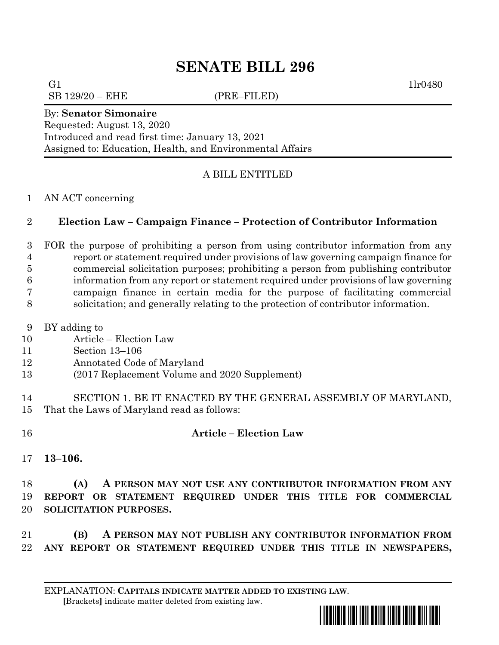# **SENATE BILL 296**

G1  $1\text{lr0480}$ 

 $SB$  129/20 –  $EHE$  (PRE–FILED)

#### By: **Senator Simonaire**

Requested: August 13, 2020 Introduced and read first time: January 13, 2021 Assigned to: Education, Health, and Environmental Affairs

## A BILL ENTITLED

#### AN ACT concerning

## **Election Law – Campaign Finance – Protection of Contributor Information**

 FOR the purpose of prohibiting a person from using contributor information from any report or statement required under provisions of law governing campaign finance for commercial solicitation purposes; prohibiting a person from publishing contributor information from any report or statement required under provisions of law governing campaign finance in certain media for the purpose of facilitating commercial solicitation; and generally relating to the protection of contributor information.

- BY adding to
- Article Election Law
- Section 13–106
- Annotated Code of Maryland
- (2017 Replacement Volume and 2020 Supplement)
- SECTION 1. BE IT ENACTED BY THE GENERAL ASSEMBLY OF MARYLAND, That the Laws of Maryland read as follows:
- 

## **Article – Election Law**

**13–106.**

 **(A) A PERSON MAY NOT USE ANY CONTRIBUTOR INFORMATION FROM ANY REPORT OR STATEMENT REQUIRED UNDER THIS TITLE FOR COMMERCIAL SOLICITATION PURPOSES.**

 **(B) A PERSON MAY NOT PUBLISH ANY CONTRIBUTOR INFORMATION FROM ANY REPORT OR STATEMENT REQUIRED UNDER THIS TITLE IN NEWSPAPERS,**

EXPLANATION: **CAPITALS INDICATE MATTER ADDED TO EXISTING LAW**.  **[**Brackets**]** indicate matter deleted from existing law.

\*sb0296\*